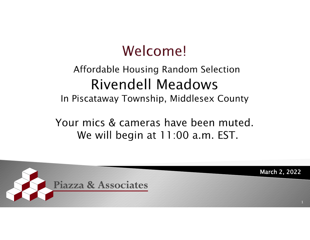### Welcome!

#### Affordable Housing Random Selection Rivendell Meadows

In Piscataway Township, Middlesex County

Your mics & cameras have been muted. We will begin at 11:00 a.m. EST.

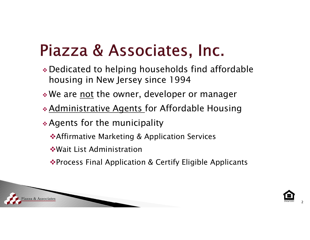### Piazza & Associates, Inc.

- Dedicated to helping households find affordable housing in New Jersey since 1994
- $\boldsymbol{*}$  We are <u>not</u> the owner, developer or manager
- Administrative Agents for Affordable Housing

Agents for the municipality

- **\*Affirmative Marketing & Application Services**
- Wait List Administration
- **Example 25 Final Application & Certify Eligible Applicants**



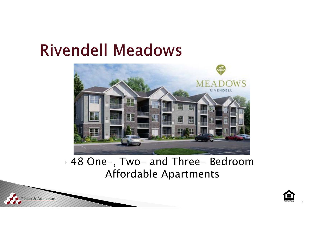iazza & Associates



#### 48 One-, Two- and Three- Bedroom Affordable Apartments

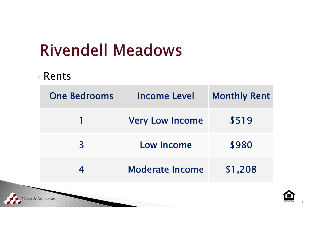#### $\triangleright$  Rents

| <b>One Bedrooms</b> | <b>Income Level</b>    | <b>Monthly Rent</b> |  |
|---------------------|------------------------|---------------------|--|
|                     | <b>Very Low Income</b> | \$519               |  |
| 3                   | Low Income             | \$980               |  |
| 4                   | <b>Moderate Income</b> | \$1,208             |  |
| zza & Associates    |                        |                     |  |

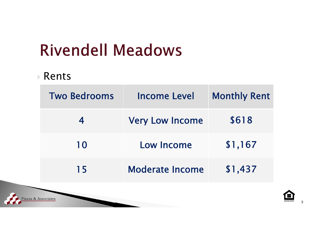#### $\triangleright$  Rents

|                    | <b>Two Bedrooms</b> | <b>Income Level</b>    | <b>Monthly Rent</b> |  |
|--------------------|---------------------|------------------------|---------------------|--|
|                    | 4                   | <b>Very Low Income</b> | \$618               |  |
|                    | 10                  | Low Income             | \$1,167             |  |
|                    | 15                  | <b>Moderate Income</b> | \$1,437             |  |
| jazza & Associates |                     |                        |                     |  |

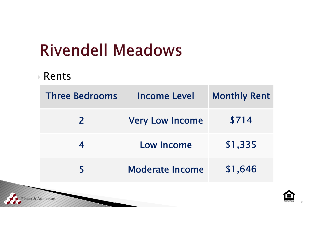#### $\triangleright$  Rents

iazza & Associates

| <b>Three Bedrooms</b> | Income Level           | <b>Monthly Rent</b> |  |
|-----------------------|------------------------|---------------------|--|
| $\mathbf{Z}$          | <b>Very Low Income</b> | \$714               |  |
|                       | Low Income             | \$1,335             |  |
| 5                     | <b>Moderate Income</b> | \$1,646             |  |
|                       |                        |                     |  |

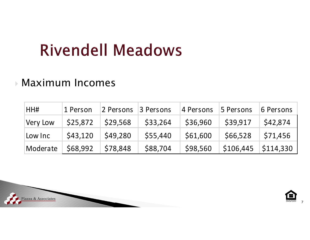#### Maximum Incomes

| HH#      | 1 Person | 2 Persons | 3 Persons | 4 Persons | 5 Persons | 6 Persons        |
|----------|----------|-----------|-----------|-----------|-----------|------------------|
| Very Low | \$25,872 | \$29,568  | \$33,264  | \$36,960  | \$39,917  | \$42,874         |
| Low Inc  | \$43,120 | \$49,280  | \$55,440  | \$61,600  | \$66,528  | \$71,456         |
| Moderate | \$68,992 | \$78,848  | \$88,704  | \$98,560  | \$106,445 | $\mid$ \$114,330 |



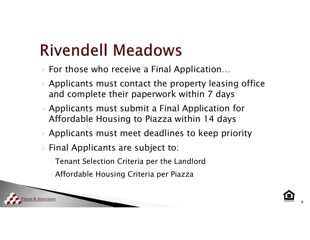- $\blacktriangleright$ For those who receive a Final Application…
- $\blacktriangleright$  Applicants must contact the property leasing office and complete their paperwork within 7 days
- $\blacktriangleright$  Applicants must submit a Final Application for Affordable Housing to Piazza within 14 days
- $\blacktriangleright$ Applicants must meet deadlines to keep priority
- Final Applicants are subject to:
	- Tenant Selection Criteria per the Landlord
	- Affordable Housing Criteria per Piazza

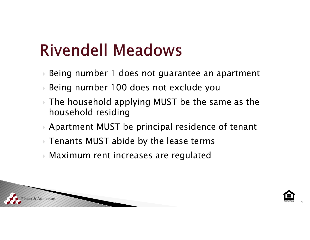- $\blacktriangleright$ Being number 1 does not guarantee an apartment
- $\blacktriangleright$ Being number 100 does not exclude you
- $\blacktriangleright$  The household applying MUST be the same as the household residing
- $\blacktriangleright$ Apartment MUST be principal residence of tenant
- Tenants MUST abide by the lease terms
- Maximum rent increases are regulated



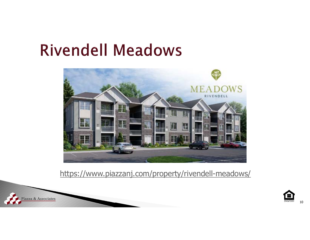

https://www.piazzanj.com/property/rivendell-meadows/